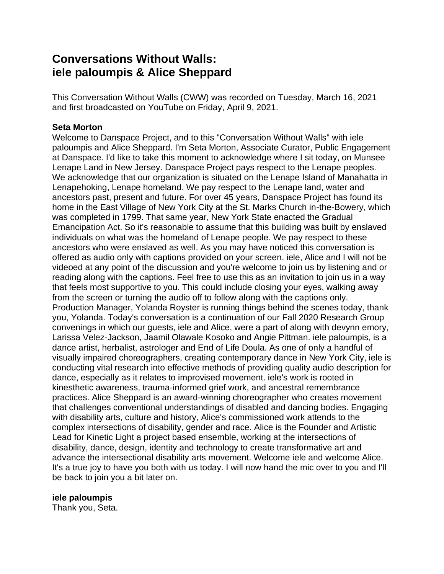# **Conversations Without Walls: iele paloumpis & Alice Sheppard**

This Conversation Without Walls (CWW) was recorded on Tuesday, March 16, 2021 and first broadcasted on YouTube on Friday, April 9, 2021.

# **Seta Morton**

Welcome to Danspace Project, and to this "Conversation Without Walls" with iele paloumpis and Alice Sheppard. I'm Seta Morton, Associate Curator, Public Engagement at Danspace. I'd like to take this moment to acknowledge where I sit today, on Munsee Lenape Land in New Jersey. Danspace Project pays respect to the Lenape peoples. We acknowledge that our organization is situated on the Lenape Island of Manahatta in Lenapehoking, Lenape homeland. We pay respect to the Lenape land, water and ancestors past, present and future. For over 45 years, Danspace Project has found its home in the East Village of New York City at the St. Marks Church in-the-Bowery, which was completed in 1799. That same year, New York State enacted the Gradual Emancipation Act. So it's reasonable to assume that this building was built by enslaved individuals on what was the homeland of Lenape people. We pay respect to these ancestors who were enslaved as well. As you may have noticed this conversation is offered as audio only with captions provided on your screen. iele, Alice and I will not be videoed at any point of the discussion and you're welcome to join us by listening and or reading along with the captions. Feel free to use this as an invitation to join us in a way that feels most supportive to you. This could include closing your eyes, walking away from the screen or turning the audio off to follow along with the captions only. Production Manager, Yolanda Royster is running things behind the scenes today, thank you, Yolanda. Today's conversation is a continuation of our Fall 2020 Research Group convenings in which our guests, iele and Alice, were a part of along with devynn emory, Larissa Velez-Jackson, Jaamil Olawale Kosoko and Angie Pittman. iele paloumpis, is a dance artist, herbalist, astrologer and End of Life Doula. As one of only a handful of visually impaired choreographers, creating contemporary dance in New York City, iele is conducting vital research into effective methods of providing quality audio description for dance, especially as it relates to improvised movement. iele's work is rooted in kinesthetic awareness, trauma-informed grief work, and ancestral remembrance practices. Alice Sheppard is an award-winning choreographer who creates movement that challenges conventional understandings of disabled and dancing bodies. Engaging with disability arts, culture and history, Alice's commissioned work attends to the complex intersections of disability, gender and race. Alice is the Founder and Artistic Lead for Kinetic Light a project based ensemble, working at the intersections of disability, dance, design, identity and technology to create transformative art and advance the intersectional disability arts movement. Welcome iele and welcome Alice. It's a true joy to have you both with us today. I will now hand the mic over to you and I'll be back to join you a bit later on.

# **iele paloumpis**

Thank you, Seta.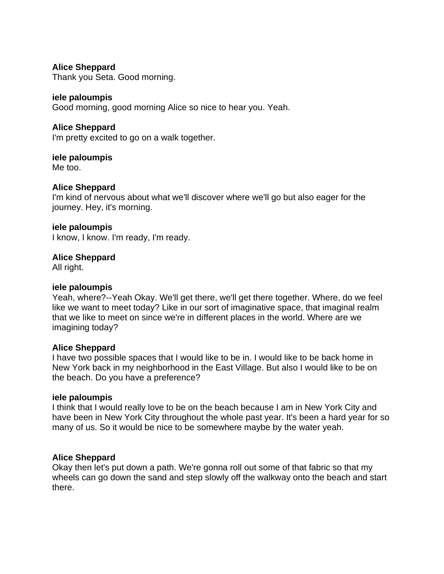# **Alice Sheppard**

Thank you Seta. Good morning.

## **iele paloumpis**

Good morning, good morning Alice so nice to hear you. Yeah.

#### **Alice Sheppard**

I'm pretty excited to go on a walk together.

# **iele paloumpis**

Me too.

# **Alice Sheppard**

I'm kind of nervous about what we'll discover where we'll go but also eager for the journey. Hey, it's morning.

#### **iele paloumpis**

I know, I know. I'm ready, I'm ready.

**Alice Sheppard**

All right.

#### **iele paloumpis**

Yeah, where?--Yeah Okay. We'll get there, we'll get there together. Where, do we feel like we want to meet today? Like in our sort of imaginative space, that imaginal realm that we like to meet on since we're in different places in the world. Where are we imagining today?

#### **Alice Sheppard**

I have two possible spaces that I would like to be in. I would like to be back home in New York back in my neighborhood in the East Village. But also I would like to be on the beach. Do you have a preference?

#### **iele paloumpis**

I think that I would really love to be on the beach because I am in New York City and have been in New York City throughout the whole past year. It's been a hard year for so many of us. So it would be nice to be somewhere maybe by the water yeah.

#### **Alice Sheppard**

Okay then let's put down a path. We're gonna roll out some of that fabric so that my wheels can go down the sand and step slowly off the walkway onto the beach and start there.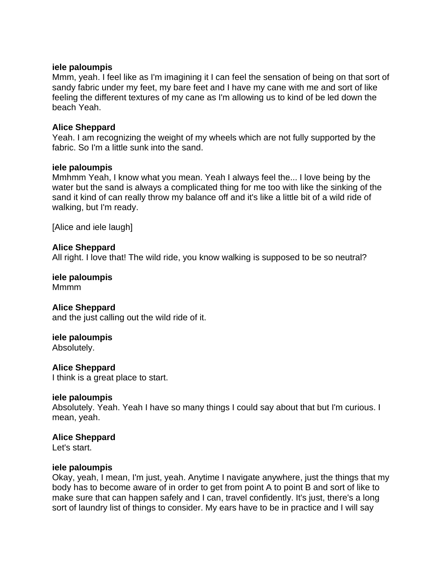#### **iele paloumpis**

Mmm, yeah. I feel like as I'm imagining it I can feel the sensation of being on that sort of sandy fabric under my feet, my bare feet and I have my cane with me and sort of like feeling the different textures of my cane as I'm allowing us to kind of be led down the beach Yeah.

## **Alice Sheppard**

Yeah. I am recognizing the weight of my wheels which are not fully supported by the fabric. So I'm a little sunk into the sand.

## **iele paloumpis**

Mmhmm Yeah, I know what you mean. Yeah I always feel the... I love being by the water but the sand is always a complicated thing for me too with like the sinking of the sand it kind of can really throw my balance off and it's like a little bit of a wild ride of walking, but I'm ready.

[Alice and iele laugh]

# **Alice Sheppard**

All right. I love that! The wild ride, you know walking is supposed to be so neutral?

**iele paloumpis** Mmmm

#### **Alice Sheppard**

and the just calling out the wild ride of it.

# **iele paloumpis**

Absolutely.

# **Alice Sheppard**

I think is a great place to start.

#### **iele paloumpis**

Absolutely. Yeah. Yeah I have so many things I could say about that but I'm curious. I mean, yeah.

#### **Alice Sheppard**

Let's start.

#### **iele paloumpis**

Okay, yeah, I mean, I'm just, yeah. Anytime I navigate anywhere, just the things that my body has to become aware of in order to get from point A to point B and sort of like to make sure that can happen safely and I can, travel confidently. It's just, there's a long sort of laundry list of things to consider. My ears have to be in practice and I will say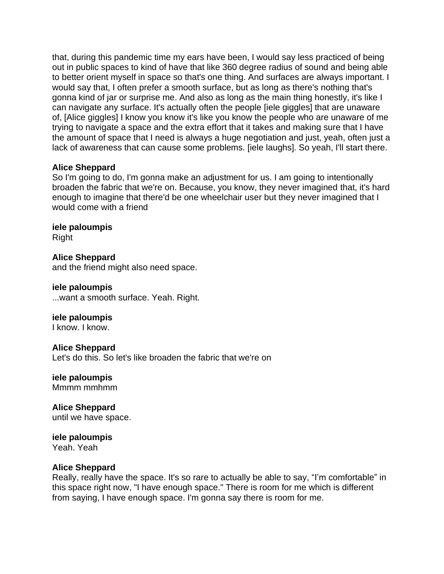that, during this pandemic time my ears have been, I would say less practiced of being out in public spaces to kind of have that like 360 degree radius of sound and being able to better orient myself in space so that's one thing. And surfaces are always important. I would say that, I often prefer a smooth surface, but as long as there's nothing that's gonna kind of jar or surprise me. And also as long as the main thing honestly, it's like I can navigate any surface. It's actually often the people [iele giggles] that are unaware of, [Alice giggles] I know you know it's like you know the people who are unaware of me trying to navigate a space and the extra effort that it takes and making sure that I have the amount of space that I need is always a huge negotiation and just, yeah, often just a lack of awareness that can cause some problems. [iele laughs]. So yeah, I'll start there.

## **Alice Sheppard**

So I'm going to do, I'm gonna make an adjustment for us. I am going to intentionally broaden the fabric that we're on. Because, you know, they never imagined that, it's hard enough to imagine that there'd be one wheelchair user but they never imagined that I would come with a friend

**iele paloumpis** Right

**Alice Sheppard** and the friend might also need space.

**iele paloumpis** ...want a smooth surface. Yeah. Right.

**iele paloumpis** I know. I know.

**Alice Sheppard** Let's do this. So let's like broaden the fabric that we're on

**iele paloumpis** Mmmm mmhmm

**Alice Sheppard** until we have space.

#### **iele paloumpis** Yeah. Yeah

#### **Alice Sheppard**

Really, really have the space. It's so rare to actually be able to say, "I'm comfortable" in this space right now, "I have enough space." There is room for me which is different from saying, I have enough space. I'm gonna say there is room for me.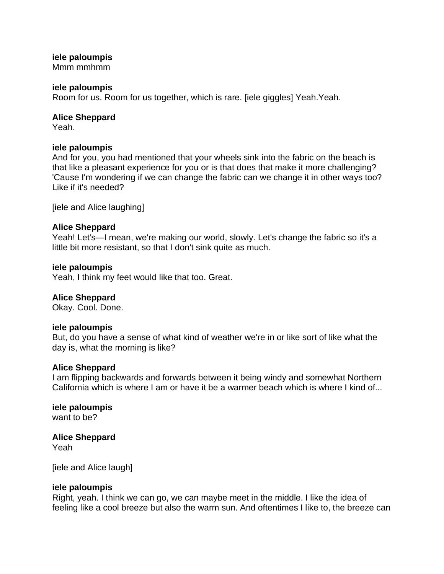# **iele paloumpis**

Mmm mmhmm

## **iele paloumpis**

Room for us. Room for us together, which is rare. [iele giggles] Yeah.Yeah.

# **Alice Sheppard**

Yeah.

## **iele paloumpis**

And for you, you had mentioned that your wheels sink into the fabric on the beach is that like a pleasant experience for you or is that does that make it more challenging? 'Cause I'm wondering if we can change the fabric can we change it in other ways too? Like if it's needed?

[iele and Alice laughing]

# **Alice Sheppard**

Yeah! Let's—I mean, we're making our world, slowly. Let's change the fabric so it's a little bit more resistant, so that I don't sink quite as much.

## **iele paloumpis**

Yeah, I think my feet would like that too. Great.

# **Alice Sheppard**

Okay. Cool. Done.

# **iele paloumpis**

But, do you have a sense of what kind of weather we're in or like sort of like what the day is, what the morning is like?

#### **Alice Sheppard**

I am flipping backwards and forwards between it being windy and somewhat Northern California which is where I am or have it be a warmer beach which is where I kind of...

**iele paloumpis** want to be?

# **Alice Sheppard**

Yeah

[iele and Alice laugh]

# **iele paloumpis**

Right, yeah. I think we can go, we can maybe meet in the middle. I like the idea of feeling like a cool breeze but also the warm sun. And oftentimes I like to, the breeze can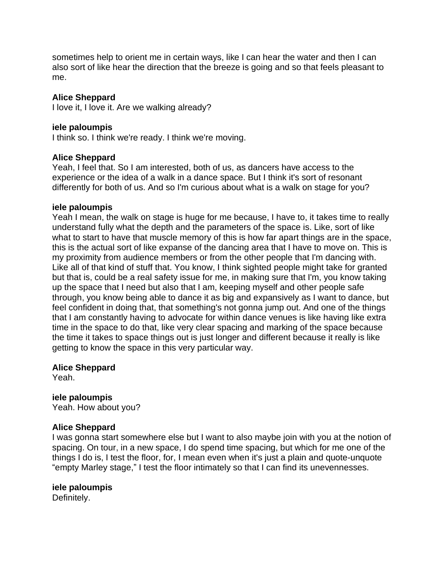sometimes help to orient me in certain ways, like I can hear the water and then I can also sort of like hear the direction that the breeze is going and so that feels pleasant to me.

## **Alice Sheppard**

I love it, I love it. Are we walking already?

#### **iele paloumpis**

I think so. I think we're ready. I think we're moving.

## **Alice Sheppard**

Yeah, I feel that. So I am interested, both of us, as dancers have access to the experience or the idea of a walk in a dance space. But I think it's sort of resonant differently for both of us. And so I'm curious about what is a walk on stage for you?

#### **iele paloumpis**

Yeah I mean, the walk on stage is huge for me because, I have to, it takes time to really understand fully what the depth and the parameters of the space is. Like, sort of like what to start to have that muscle memory of this is how far apart things are in the space, this is the actual sort of like expanse of the dancing area that I have to move on. This is my proximity from audience members or from the other people that I'm dancing with. Like all of that kind of stuff that. You know, I think sighted people might take for granted but that is, could be a real safety issue for me, in making sure that I'm, you know taking up the space that I need but also that I am, keeping myself and other people safe through, you know being able to dance it as big and expansively as I want to dance, but feel confident in doing that, that something's not gonna jump out. And one of the things that I am constantly having to advocate for within dance venues is like having like extra time in the space to do that, like very clear spacing and marking of the space because the time it takes to space things out is just longer and different because it really is like getting to know the space in this very particular way.

#### **Alice Sheppard**

Yeah.

# **iele paloumpis**

Yeah. How about you?

#### **Alice Sheppard**

I was gonna start somewhere else but I want to also maybe join with you at the notion of spacing. On tour, in a new space, I do spend time spacing, but which for me one of the things I do is, I test the floor, for, I mean even when it's just a plain and quote-unquote "empty Marley stage," I test the floor intimately so that I can find its unevennesses.

# **iele paloumpis**

Definitely.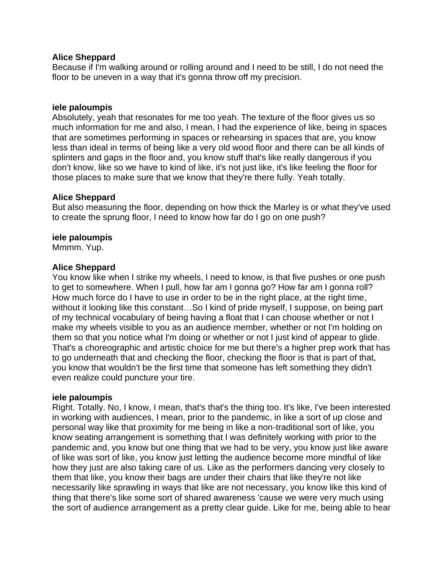## **Alice Sheppard**

Because if I'm walking around or rolling around and I need to be still, I do not need the floor to be uneven in a way that it's gonna throw off my precision.

## **iele paloumpis**

Absolutely, yeah that resonates for me too yeah. The texture of the floor gives us so much information for me and also, I mean, I had the experience of like, being in spaces that are sometimes performing in spaces or rehearsing in spaces that are, you know less than ideal in terms of being like a very old wood floor and there can be all kinds of splinters and gaps in the floor and, you know stuff that's like really dangerous if you don't know, like so we have to kind of like, it's not just like, it's like feeling the floor for those places to make sure that we know that they're there fully. Yeah totally.

## **Alice Sheppard**

But also measuring the floor, depending on how thick the Marley is or what they've used to create the sprung floor, I need to know how far do I go on one push?

## **iele paloumpis**

Mmmm. Yup.

## **Alice Sheppard**

You know like when I strike my wheels, I need to know, is that five pushes or one push to get to somewhere. When I pull, how far am I gonna go? How far am I gonna roll? How much force do I have to use in order to be in the right place, at the right time, without it looking like this constant…So I kind of pride myself, I suppose, on being part of my technical vocabulary of being having a float that I can choose whether or not I make my wheels visible to you as an audience member, whether or not I'm holding on them so that you notice what I'm doing or whether or not I just kind of appear to glide. That's a choreographic and artistic choice for me but there's a higher prep work that has to go underneath that and checking the floor, checking the floor is that is part of that, you know that wouldn't be the first time that someone has left something they didn't even realize could puncture your tire.

#### **iele paloumpis**

Right. Totally. No, I know, I mean, that's that's the thing too. It's like, I've been interested in working with audiences, I mean, prior to the pandemic, in like a sort of up close and personal way like that proximity for me being in like a non-traditional sort of like, you know seating arrangement is something that I was definitely working with prior to the pandemic and, you know but one thing that we had to be very, you know just like aware of like was sort of like, you know just letting the audience become more mindful of like how they just are also taking care of us. Like as the performers dancing very closely to them that like, you know their bags are under their chairs that like they're not like necessarily like sprawling in ways that like are not necessary, you know like this kind of thing that there's like some sort of shared awareness 'cause we were very much using the sort of audience arrangement as a pretty clear guide. Like for me, being able to hear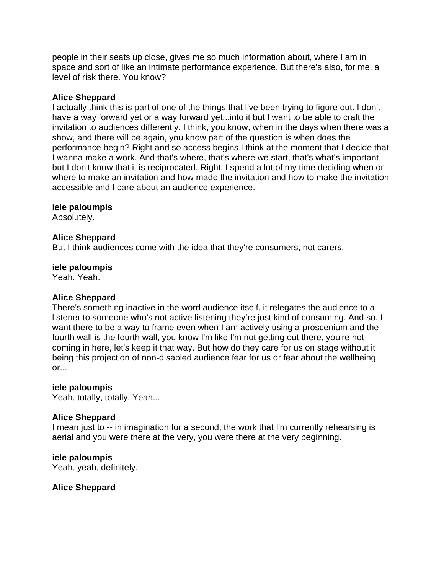people in their seats up close, gives me so much information about, where I am in space and sort of like an intimate performance experience. But there's also, for me, a level of risk there. You know?

#### **Alice Sheppard**

I actually think this is part of one of the things that I've been trying to figure out. I don't have a way forward yet or a way forward yet...into it but I want to be able to craft the invitation to audiences differently. I think, you know, when in the days when there was a show, and there will be again, you know part of the question is when does the performance begin? Right and so access begins I think at the moment that I decide that I wanna make a work. And that's where, that's where we start, that's what's important but I don't know that it is reciprocated. Right, I spend a lot of my time deciding when or where to make an invitation and how made the invitation and how to make the invitation accessible and I care about an audience experience.

#### **iele paloumpis**

Absolutely.

#### **Alice Sheppard**

But I think audiences come with the idea that they're consumers, not carers.

#### **iele paloumpis**

Yeah. Yeah.

# **Alice Sheppard**

There's something inactive in the word audience itself, it relegates the audience to a listener to someone who's not active listening they're just kind of consuming. And so, I want there to be a way to frame even when I am actively using a proscenium and the fourth wall is the fourth wall, you know I'm like I'm not getting out there, you're not coming in here, let's keep it that way. But how do they care for us on stage without it being this projection of non-disabled audience fear for us or fear about the wellbeing or...

#### **iele paloumpis**

Yeah, totally, totally. Yeah...

#### **Alice Sheppard**

I mean just to -- in imagination for a second, the work that I'm currently rehearsing is aerial and you were there at the very, you were there at the very beginning.

#### **iele paloumpis**

Yeah, yeah, definitely.

# **Alice Sheppard**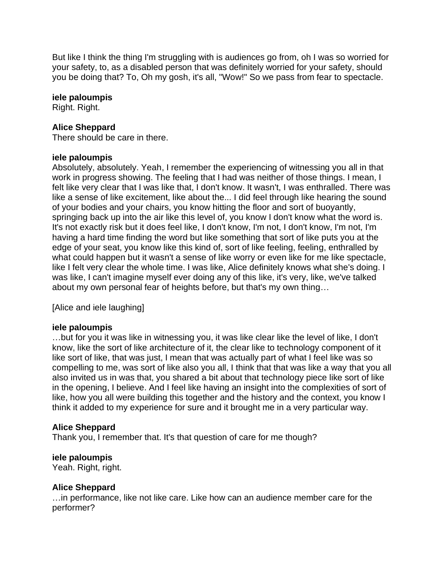But like I think the thing I'm struggling with is audiences go from, oh I was so worried for your safety, to, as a disabled person that was definitely worried for your safety, should you be doing that? To, Oh my gosh, it's all, "Wow!" So we pass from fear to spectacle.

#### **iele paloumpis**

Right. Right.

## **Alice Sheppard**

There should be care in there.

#### **iele paloumpis**

Absolutely, absolutely. Yeah, I remember the experiencing of witnessing you all in that work in progress showing. The feeling that I had was neither of those things. I mean, I felt like very clear that I was like that, I don't know. It wasn't, I was enthralled. There was like a sense of like excitement, like about the... I did feel through like hearing the sound of your bodies and your chairs, you know hitting the floor and sort of buoyantly, springing back up into the air like this level of, you know I don't know what the word is. It's not exactly risk but it does feel like, I don't know, I'm not, I don't know, I'm not, I'm having a hard time finding the word but like something that sort of like puts you at the edge of your seat, you know like this kind of, sort of like feeling, feeling, enthralled by what could happen but it wasn't a sense of like worry or even like for me like spectacle, like I felt very clear the whole time. I was like, Alice definitely knows what she's doing. I was like, I can't imagine myself ever doing any of this like, it's very, like, we've talked about my own personal fear of heights before, but that's my own thing…

[Alice and iele laughing]

#### **iele paloumpis**

…but for you it was like in witnessing you, it was like clear like the level of like, I don't know, like the sort of like architecture of it, the clear like to technology component of it like sort of like, that was just, I mean that was actually part of what I feel like was so compelling to me, was sort of like also you all, I think that that was like a way that you all also invited us in was that, you shared a bit about that technology piece like sort of like in the opening, I believe. And I feel like having an insight into the complexities of sort of like, how you all were building this together and the history and the context, you know I think it added to my experience for sure and it brought me in a very particular way.

#### **Alice Sheppard**

Thank you, I remember that. It's that question of care for me though?

#### **iele paloumpis**

Yeah. Right, right.

#### **Alice Sheppard**

…in performance, like not like care. Like how can an audience member care for the performer?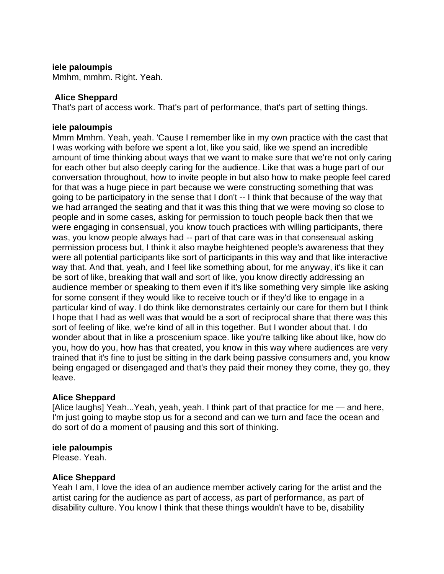## **iele paloumpis**

Mmhm, mmhm. Right. Yeah.

## **Alice Sheppard**

That's part of access work. That's part of performance, that's part of setting things.

## **iele paloumpis**

Mmm Mmhm. Yeah, yeah. 'Cause I remember like in my own practice with the cast that I was working with before we spent a lot, like you said, like we spend an incredible amount of time thinking about ways that we want to make sure that we're not only caring for each other but also deeply caring for the audience. Like that was a huge part of our conversation throughout, how to invite people in but also how to make people feel cared for that was a huge piece in part because we were constructing something that was going to be participatory in the sense that I don't -- I think that because of the way that we had arranged the seating and that it was this thing that we were moving so close to people and in some cases, asking for permission to touch people back then that we were engaging in consensual, you know touch practices with willing participants, there was, you know people always had -- part of that care was in that consensual asking permission process but, I think it also maybe heightened people's awareness that they were all potential participants like sort of participants in this way and that like interactive way that. And that, yeah, and I feel like something about, for me anyway, it's like it can be sort of like, breaking that wall and sort of like, you know directly addressing an audience member or speaking to them even if it's like something very simple like asking for some consent if they would like to receive touch or if they'd like to engage in a particular kind of way. I do think like demonstrates certainly our care for them but I think I hope that I had as well was that would be a sort of reciprocal share that there was this sort of feeling of like, we're kind of all in this together. But I wonder about that. I do wonder about that in like a proscenium space. like you're talking like about like, how do you, how do you, how has that created, you know in this way where audiences are very trained that it's fine to just be sitting in the dark being passive consumers and, you know being engaged or disengaged and that's they paid their money they come, they go, they leave.

# **Alice Sheppard**

[Alice laughs] Yeah...Yeah, yeah, yeah. I think part of that practice for me — and here, I'm just going to maybe stop us for a second and can we turn and face the ocean and do sort of do a moment of pausing and this sort of thinking.

#### **iele paloumpis**

Please. Yeah.

# **Alice Sheppard**

Yeah I am, I love the idea of an audience member actively caring for the artist and the artist caring for the audience as part of access, as part of performance, as part of disability culture. You know I think that these things wouldn't have to be, disability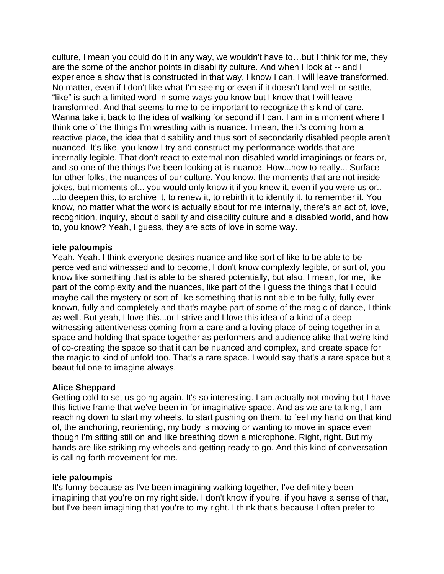culture, I mean you could do it in any way, we wouldn't have to…but I think for me, they are the some of the anchor points in disability culture. And when I look at -- and I experience a show that is constructed in that way, I know I can, I will leave transformed. No matter, even if I don't like what I'm seeing or even if it doesn't land well or settle, "like" is such a limited word in some ways you know but I know that I will leave transformed. And that seems to me to be important to recognize this kind of care. Wanna take it back to the idea of walking for second if I can. I am in a moment where I think one of the things I'm wrestling with is nuance. I mean, the it's coming from a reactive place, the idea that disability and thus sort of secondarily disabled people aren't nuanced. It's like, you know I try and construct my performance worlds that are internally legible. That don't react to external non-disabled world imaginings or fears or, and so one of the things I've been looking at is nuance. How...how to really... Surface for other folks, the nuances of our culture. You know, the moments that are not inside jokes, but moments of... you would only know it if you knew it, even if you were us or.. ...to deepen this, to archive it, to renew it, to rebirth it to identify it, to remember it. You know, no matter what the work is actually about for me internally, there's an act of, love, recognition, inquiry, about disability and disability culture and a disabled world, and how to, you know? Yeah, I guess, they are acts of love in some way.

#### **iele paloumpis**

Yeah. Yeah. I think everyone desires nuance and like sort of like to be able to be perceived and witnessed and to become, I don't know complexly legible, or sort of, you know like something that is able to be shared potentially, but also, I mean, for me, like part of the complexity and the nuances, like part of the I guess the things that I could maybe call the mystery or sort of like something that is not able to be fully, fully ever known, fully and completely and that's maybe part of some of the magic of dance, I think as well. But yeah, I love this...or I strive and I love this idea of a kind of a deep witnessing attentiveness coming from a care and a loving place of being together in a space and holding that space together as performers and audience alike that we're kind of co-creating the space so that it can be nuanced and complex, and create space for the magic to kind of unfold too. That's a rare space. I would say that's a rare space but a beautiful one to imagine always.

# **Alice Sheppard**

Getting cold to set us going again. It's so interesting. I am actually not moving but I have this fictive frame that we've been in for imaginative space. And as we are talking, I am reaching down to start my wheels, to start pushing on them, to feel my hand on that kind of, the anchoring, reorienting, my body is moving or wanting to move in space even though I'm sitting still on and like breathing down a microphone. Right, right. But my hands are like striking my wheels and getting ready to go. And this kind of conversation is calling forth movement for me.

#### **iele paloumpis**

It's funny because as I've been imagining walking together, I've definitely been imagining that you're on my right side. I don't know if you're, if you have a sense of that, but I've been imagining that you're to my right. I think that's because I often prefer to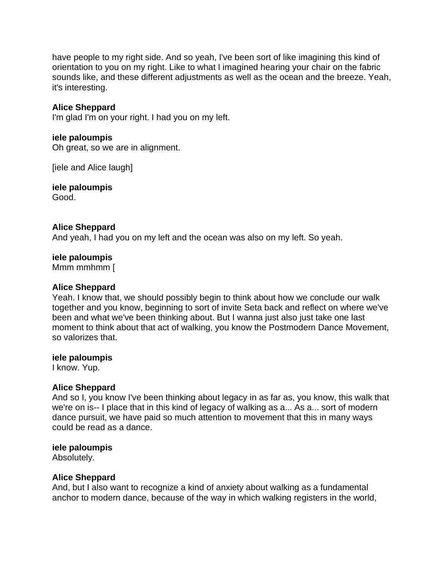have people to my right side. And so yeah, I've been sort of like imagining this kind of orientation to you on my right. Like to what I imagined hearing your chair on the fabric sounds like, and these different adjustments as well as the ocean and the breeze. Yeah, it's interesting.

# **Alice Sheppard**

I'm glad I'm on your right. I had you on my left.

#### **iele paloumpis**

Oh great, so we are in alignment.

[iele and Alice laugh]

**iele paloumpis** Good.

## **Alice Sheppard**

And yeah, I had you on my left and the ocean was also on my left. So yeah.

#### **iele paloumpis**

Mmm mmhmm [

#### **Alice Sheppard**

Yeah. I know that, we should possibly begin to think about how we conclude our walk together and you know, beginning to sort of invite Seta back and reflect on where we've been and what we've been thinking about. But I wanna just also just take one last moment to think about that act of walking, you know the Postmodern Dance Movement, so valorizes that.

#### **iele paloumpis**

I know. Yup.

#### **Alice Sheppard**

And so I, you know I've been thinking about legacy in as far as, you know, this walk that we're on is-- I place that in this kind of legacy of walking as a... As a... sort of modern dance pursuit, we have paid so much attention to movement that this in many ways could be read as a dance.

#### **iele paloumpis**

Absolutely.

#### **Alice Sheppard**

And, but I also want to recognize a kind of anxiety about walking as a fundamental anchor to modern dance, because of the way in which walking registers in the world,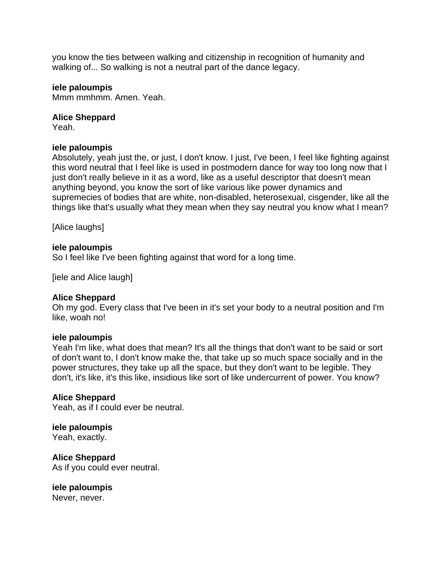you know the ties between walking and citizenship in recognition of humanity and walking of... So walking is not a neutral part of the dance legacy.

## **iele paloumpis**

Mmm mmhmm. Amen. Yeah.

## **Alice Sheppard**

Yeah.

## **iele paloumpis**

Absolutely, yeah just the, or just, I don't know. I just, I've been, I feel like fighting against this word neutral that I feel like is used in postmodern dance for way too long now that I just don't really believe in it as a word, like as a useful descriptor that doesn't mean anything beyond, you know the sort of like various like power dynamics and supremecies of bodies that are white, non-disabled, heterosexual, cisgender, like all the things like that's usually what they mean when they say neutral you know what I mean?

[Alice laughs]

## **iele paloumpis**

So I feel like I've been fighting against that word for a long time.

[iele and Alice laugh]

# **Alice Sheppard**

Oh my god. Every class that I've been in it's set your body to a neutral position and I'm like, woah no!

#### **iele paloumpis**

Yeah I'm like, what does that mean? It's all the things that don't want to be said or sort of don't want to, I don't know make the, that take up so much space socially and in the power structures, they take up all the space, but they don't want to be legible. They don't, it's like, it's this like, insidious like sort of like undercurrent of power. You know?

#### **Alice Sheppard**

Yeah, as if I could ever be neutral.

# **iele paloumpis**

Yeah, exactly.

**Alice Sheppard** As if you could ever neutral.

**iele paloumpis**

Never, never.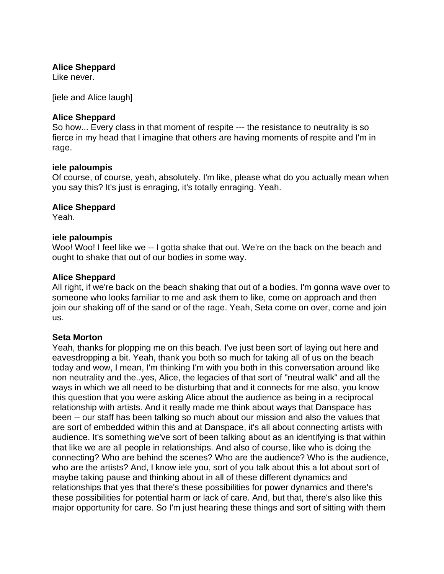## **Alice Sheppard**

Like never.

[iele and Alice laugh]

## **Alice Sheppard**

So how... Every class in that moment of respite --- the resistance to neutrality is so fierce in my head that I imagine that others are having moments of respite and I'm in rage.

#### **iele paloumpis**

Of course, of course, yeah, absolutely. I'm like, please what do you actually mean when you say this? It's just is enraging, it's totally enraging. Yeah.

## **Alice Sheppard**

Yeah.

## **iele paloumpis**

Woo! Woo! I feel like we -- I gotta shake that out. We're on the back on the beach and ought to shake that out of our bodies in some way.

## **Alice Sheppard**

All right, if we're back on the beach shaking that out of a bodies. I'm gonna wave over to someone who looks familiar to me and ask them to like, come on approach and then join our shaking off of the sand or of the rage. Yeah, Seta come on over, come and join us.

#### **Seta Morton**

Yeah, thanks for plopping me on this beach. I've just been sort of laying out here and eavesdropping a bit. Yeah, thank you both so much for taking all of us on the beach today and wow, I mean, I'm thinking I'm with you both in this conversation around like non neutrality and the..yes, Alice, the legacies of that sort of "neutral walk" and all the ways in which we all need to be disturbing that and it connects for me also, you know this question that you were asking Alice about the audience as being in a reciprocal relationship with artists. And it really made me think about ways that Danspace has been -- our staff has been talking so much about our mission and also the values that are sort of embedded within this and at Danspace, it's all about connecting artists with audience. It's something we've sort of been talking about as an identifying is that within that like we are all people in relationships. And also of course, like who is doing the connecting? Who are behind the scenes? Who are the audience? Who is the audience, who are the artists? And, I know iele you, sort of you talk about this a lot about sort of maybe taking pause and thinking about in all of these different dynamics and relationships that yes that there's these possibilities for power dynamics and there's these possibilities for potential harm or lack of care. And, but that, there's also like this major opportunity for care. So I'm just hearing these things and sort of sitting with them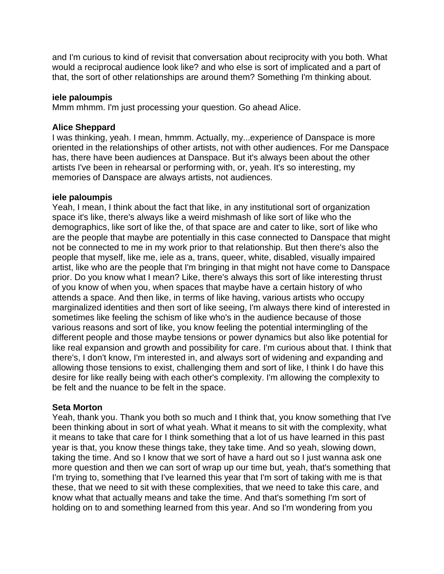and I'm curious to kind of revisit that conversation about reciprocity with you both. What would a reciprocal audience look like? and who else is sort of implicated and a part of that, the sort of other relationships are around them? Something I'm thinking about.

## **iele paloumpis**

Mmm mhmm. I'm just processing your question. Go ahead Alice.

## **Alice Sheppard**

I was thinking, yeah. I mean, hmmm. Actually, my...experience of Danspace is more oriented in the relationships of other artists, not with other audiences. For me Danspace has, there have been audiences at Danspace. But it's always been about the other artists I've been in rehearsal or performing with, or, yeah. It's so interesting, my memories of Danspace are always artists, not audiences.

#### **iele paloumpis**

Yeah, I mean, I think about the fact that like, in any institutional sort of organization space it's like, there's always like a weird mishmash of like sort of like who the demographics, like sort of like the, of that space are and cater to like, sort of like who are the people that maybe are potentially in this case connected to Danspace that might not be connected to me in my work prior to that relationship. But then there's also the people that myself, like me, iele as a, trans, queer, white, disabled, visually impaired artist, like who are the people that I'm bringing in that might not have come to Danspace prior. Do you know what I mean? Like, there's always this sort of like interesting thrust of you know of when you, when spaces that maybe have a certain history of who attends a space. And then like, in terms of like having, various artists who occupy marginalized identities and then sort of like seeing, I'm always there kind of interested in sometimes like feeling the schism of like who's in the audience because of those various reasons and sort of like, you know feeling the potential intermingling of the different people and those maybe tensions or power dynamics but also like potential for like real expansion and growth and possibility for care. I'm curious about that. I think that there's, I don't know, I'm interested in, and always sort of widening and expanding and allowing those tensions to exist, challenging them and sort of like, I think I do have this desire for like really being with each other's complexity. I'm allowing the complexity to be felt and the nuance to be felt in the space.

# **Seta Morton**

Yeah, thank you. Thank you both so much and I think that, you know something that I've been thinking about in sort of what yeah. What it means to sit with the complexity, what it means to take that care for I think something that a lot of us have learned in this past year is that, you know these things take, they take time. And so yeah, slowing down, taking the time. And so I know that we sort of have a hard out so I just wanna ask one more question and then we can sort of wrap up our time but, yeah, that's something that I'm trying to, something that I've learned this year that I'm sort of taking with me is that these, that we need to sit with these complexities, that we need to take this care, and know what that actually means and take the time. And that's something I'm sort of holding on to and something learned from this year. And so I'm wondering from you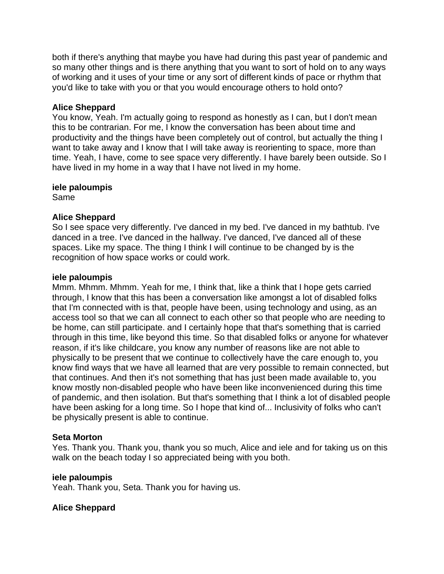both if there's anything that maybe you have had during this past year of pandemic and so many other things and is there anything that you want to sort of hold on to any ways of working and it uses of your time or any sort of different kinds of pace or rhythm that you'd like to take with you or that you would encourage others to hold onto?

# **Alice Sheppard**

You know, Yeah. I'm actually going to respond as honestly as I can, but I don't mean this to be contrarian. For me, I know the conversation has been about time and productivity and the things have been completely out of control, but actually the thing I want to take away and I know that I will take away is reorienting to space, more than time. Yeah, I have, come to see space very differently. I have barely been outside. So I have lived in my home in a way that I have not lived in my home.

## **iele paloumpis**

Same

# **Alice Sheppard**

So I see space very differently. I've danced in my bed. I've danced in my bathtub. I've danced in a tree. I've danced in the hallway. I've danced, I've danced all of these spaces. Like my space. The thing I think I will continue to be changed by is the recognition of how space works or could work.

# **iele paloumpis**

Mmm. Mhmm. Mhmm. Yeah for me, I think that, like a think that I hope gets carried through, I know that this has been a conversation like amongst a lot of disabled folks that I'm connected with is that, people have been, using technology and using, as an access tool so that we can all connect to each other so that people who are needing to be home, can still participate. and I certainly hope that that's something that is carried through in this time, like beyond this time. So that disabled folks or anyone for whatever reason, if it's like childcare, you know any number of reasons like are not able to physically to be present that we continue to collectively have the care enough to, you know find ways that we have all learned that are very possible to remain connected, but that continues. And then it's not something that has just been made available to, you know mostly non-disabled people who have been like inconvenienced during this time of pandemic, and then isolation. But that's something that I think a lot of disabled people have been asking for a long time. So I hope that kind of... Inclusivity of folks who can't be physically present is able to continue.

# **Seta Morton**

Yes. Thank you. Thank you, thank you so much, Alice and iele and for taking us on this walk on the beach today I so appreciated being with you both.

# **iele paloumpis**

Yeah. Thank you, Seta. Thank you for having us.

# **Alice Sheppard**